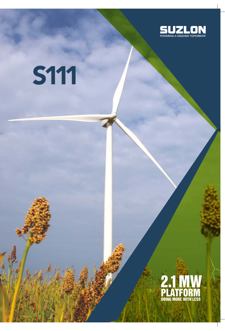

# S111

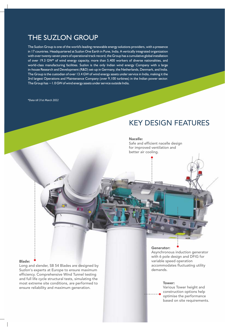# THE SUZLON GROUP

The Suzlon Group is one of the world's leading renewable energy solutions providers, with a presence in 17 countries. Headquartered at Suzlon One Earth in Pune, India. A vertically integrated organization with over twenty-seven years of operational track record, the Group has a cumulative global installation of over 19.3 GW\* of wind energy capacity, more than 5,400 workers of diverse nationalities, and world-class manufacturing facilities. Suzlon is the only Indian wind energy Company with a large in-house Research and Development (R&D) set-up in Germany, the Netherlands, Denmark, and India. The Group is the custodian of over 13.4 GW of wind energy assets under service in India, making it the 3rd largest Operations and Maintenance Company (over 9,100 turbines) in the Indian power sector. The Group has  $\sim$  1.0 GW of wind energy assets under service outside India.

*\*Data till 31st March 2022*

# KEY DESIGN FEATURES

## Nacelle:

Safe and efficient nacelle design for improved ventilation and better air cooling.

## Blade:

Long and slender, SB 54 Blades are designed by Suzlon's experts at Europe to ensure maximum efficiency. Comprehensive Wind Tunnel testing and full life cycle structural tests, simulating the most extreme site conditions, are performed to ensure reliability and maximum generation.

# Generator:

Asynchronous induction generator with 6 pole design and DFIG for variable speed operation accommodates fluctuating utility demands.

#### Tower:

Various Tower height and construction options help optimise the performance based on site requirements.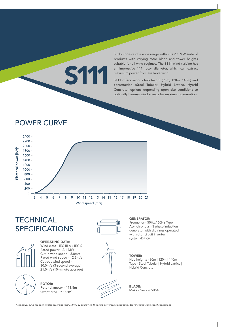Suzlon boasts of a wide range within its 2.1 MW suite of products with varying rotor blade and tower heights suitable for all wind regimes. The S111 wind turbine has an impressive 111 rotor diameter, which can extract maximum power from available wind.

S111 offers various hub height (90m, 120m, 140m) and construction (Steel Tubular, Hybrid Lattice, Hybrid Concrete) options depending upon site conditions to optimally harness wind energy for maximum generation.

# POWER CURVE



S111

# **TECHNICAL** SPECIFICATIONS



OPERATING DATA: Wind class - IEC III A / IEC S Rated power - 2.1 MW Cut-in wind speed - 3.0m/s Rated wind speed - 12.5m/s Cut-out wind speed - 30.0m/s (3-second average) 21.0m/s (10-minute average)

ROTOR: Rotor diameter - 111.8m Swept area - 9,852 $m<sup>2</sup>$ 



# GENERATOR:

Frequency - 50Hz / 60Hz Type Asynchronous - 3 phase induction generator with slip rings operated with rotor circuit inverter system (DFIG)

# TOWER:

Hub heights - 90m | 120m | 140m Type - Steel Tubular | Hybrid Lattice | Hybrid Concrete



BLADE: Make - Suzlon SB54